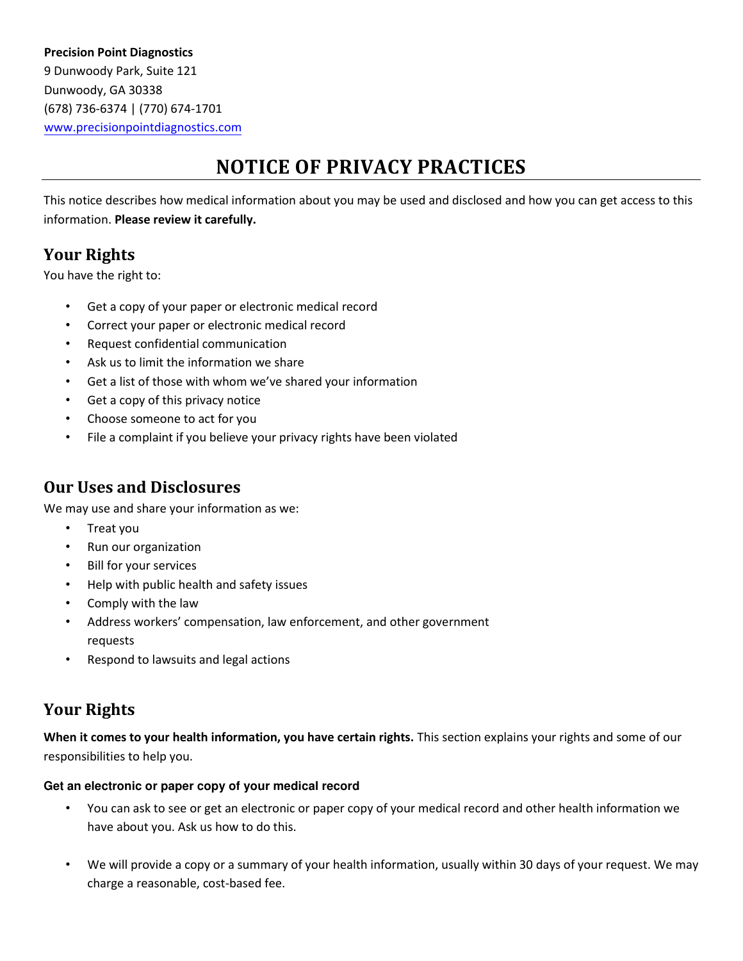# **NOTICE OF PRIVACY PRACTICES**

This notice describes how medical information about you may be used and disclosed and how you can get access to this information. **Please review it carefully.** 

## **Your Rights**

You have the right to:

- Get a copy of your paper or electronic medical record
- Correct your paper or electronic medical record
- Request confidential communication
- Ask us to limit the information we share
- Get a list of those with whom we've shared your information
- Get a copy of this privacy notice
- Choose someone to act for you
- File a complaint if you believe your privacy rights have been violated

## **Our Uses and Disclosures**

We may use and share your information as we:

- Treat you
- Run our organization
- Bill for your services
- Help with public health and safety issues
- Comply with the law
- Address workers' compensation, law enforcement, and other government requests
- Respond to lawsuits and legal actions

## **Your Rights**

**When it comes to your health information, you have certain rights.** This section explains your rights and some of our responsibilities to help you.

#### **Get an electronic or paper copy of your medical record**

- You can ask to see or get an electronic or paper copy of your medical record and other health information we have about you. Ask us how to do this.
- We will provide a copy or a summary of your health information, usually within 30 days of your request. We may charge a reasonable, cost-based fee.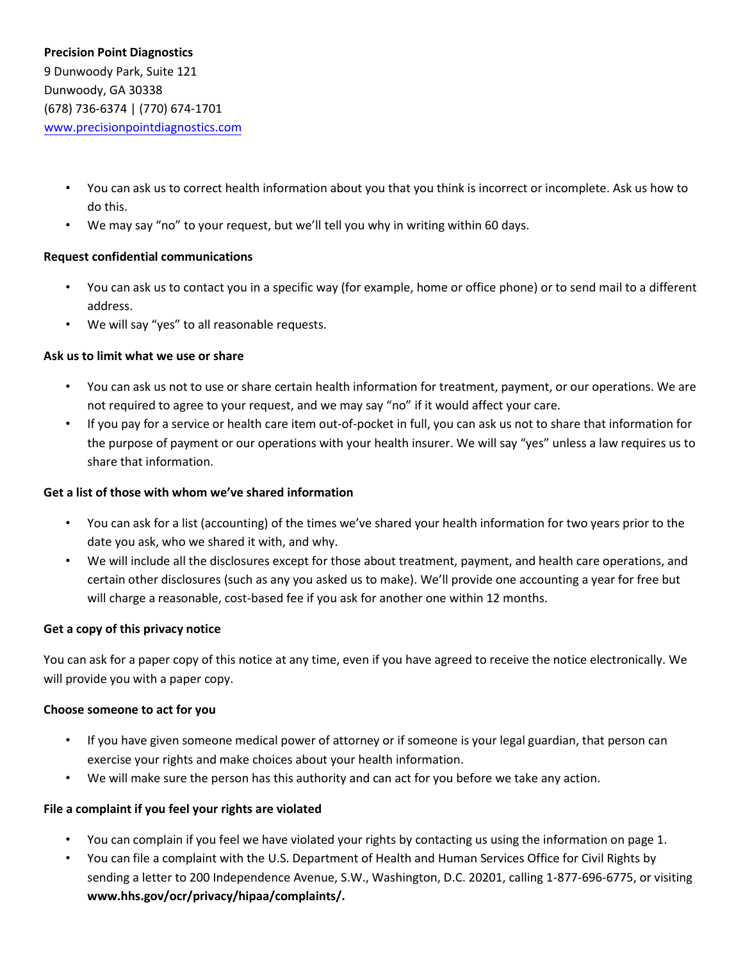- You can ask us to correct health information about you that you think is incorrect or incomplete. Ask us how to do this.
- We may say "no" to your request, but we'll tell you why in writing within 60 days.

#### **Request confidential communications**

- You can ask us to contact you in a specific way (for example, home or office phone) or to send mail to a different address.
- We will say "yes" to all reasonable requests.

#### **Ask us to limit what we use or share**

- You can ask us not to use or share certain health information for treatment, payment, or our operations. We are not required to agree to your request, and we may say "no" if it would affect your care.
- If you pay for a service or health care item out-of-pocket in full, you can ask us not to share that information for the purpose of payment or our operations with your health insurer. We will say "yes" unless a law requires us to share that information.

#### **Get a list of those with whom we've shared information**

- You can ask for a list (accounting) of the times we've shared your health information for two years prior to the date you ask, who we shared it with, and why.
- We will include all the disclosures except for those about treatment, payment, and health care operations, and certain other disclosures (such as any you asked us to make). We'll provide one accounting a year for free but will charge a reasonable, cost-based fee if you ask for another one within 12 months.

#### **Get a copy of this privacy notice**

You can ask for a paper copy of this notice at any time, even if you have agreed to receive the notice electronically. We will provide you with a paper copy.

#### **Choose someone to act for you**

- If you have given someone medical power of attorney or if someone is your legal guardian, that person can exercise your rights and make choices about your health information.
- We will make sure the person has this authority and can act for you before we take any action.

#### **File a complaint if you feel your rights are violated**

- You can complain if you feel we have violated your rights by contacting us using the information on page 1.
- You can file a complaint with the U.S. Department of Health and Human Services Office for Civil Rights by sending a letter to 200 Independence Avenue, S.W., Washington, D.C. 20201, calling 1-877-696-6775, or visiting **www.hhs.gov/ocr/privacy/hipaa/complaints/.**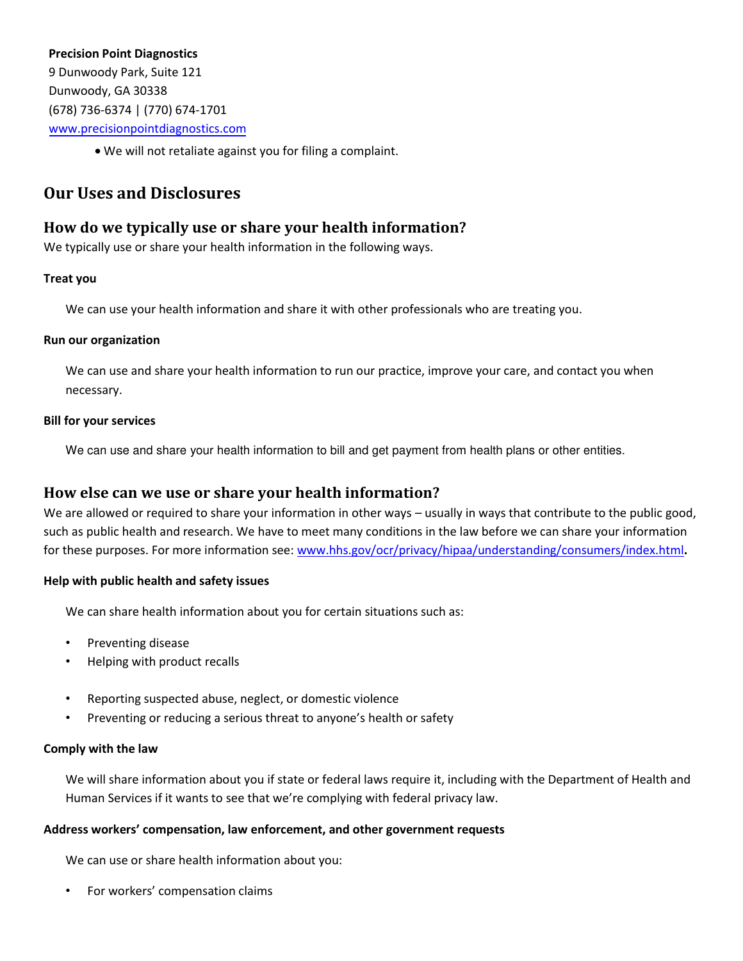• We will not retaliate against you for filing a complaint.

### **Our Uses and Disclosures**

#### **How do we typically use or share your health information?**

We typically use or share your health information in the following ways.

#### **Treat you**

We can use your health information and share it with other professionals who are treating you.

#### **Run our organization**

We can use and share your health information to run our practice, improve your care, and contact you when necessary.

#### **Bill for your services**

We can use and share your health information to bill and get payment from health plans or other entities.

#### **How else can we use or share your health information?**

We are allowed or required to share your information in other ways – usually in ways that contribute to the public good, such as public health and research. We have to meet many conditions in the law before we can share your information for these purposes. For more information see: [www.hhs.gov/ocr/privacy/hipaa/understanding/consumers/index.html](http://www.hhs.gov/ocr/privacy/hipaa/understanding/consumers/index.html)**.** 

#### **Help with public health and safety issues**

We can share health information about you for certain situations such as:

- Preventing disease
- Helping with product recalls
- Reporting suspected abuse, neglect, or domestic violence
- Preventing or reducing a serious threat to anyone's health or safety

#### **Comply with the law**

We will share information about you if state or federal laws require it, including with the Department of Health and Human Services if it wants to see that we're complying with federal privacy law.

#### **Address workers' compensation, law enforcement, and other government requests**

We can use or share health information about you:

• For workers' compensation claims